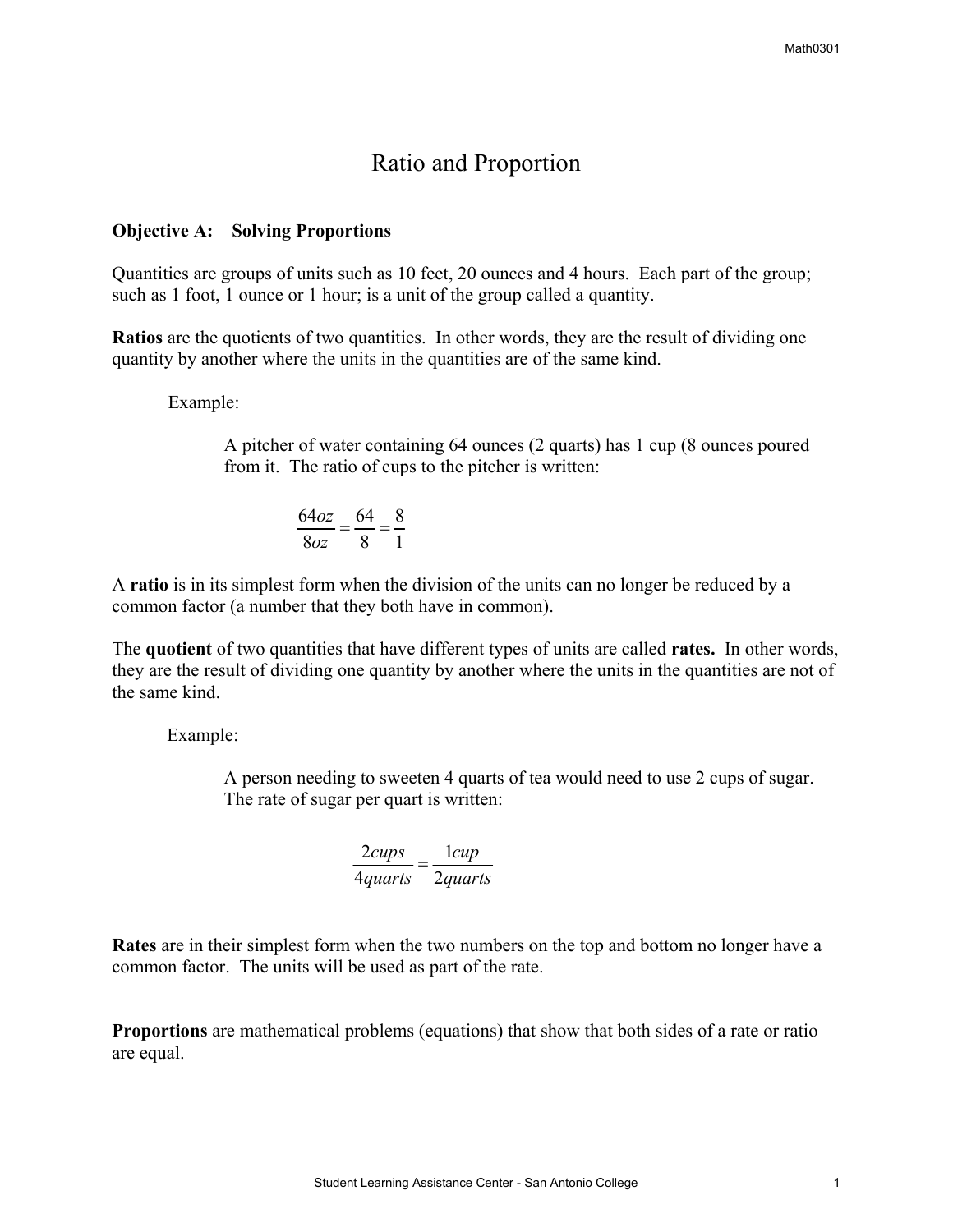# Ratio and Proportion

#### **Objective A: Solving Proportions**

Quantities are groups of units such as 10 feet, 20 ounces and 4 hours. Each part of the group; such as 1 foot, 1 ounce or 1 hour; is a unit of the group called a quantity.

**Ratios** are the quotients of two quantities. In other words, they are the result of dividing one quantity by another where the units in the quantities are of the same kind.

Example:

A pitcher of water containing 64 ounces (2 quarts) has 1 cup (8 ounces poured from it. The ratio of cups to the pitcher is written:

$$
\frac{64oz}{8oz} = \frac{64}{8} = \frac{8}{1}
$$

A **ratio** is in its simplest form when the division of the units can no longer be reduced by a common factor (a number that they both have in common).

The **quotient** of two quantities that have different types of units are called **rates.** In other words, they are the result of dividing one quantity by another where the units in the quantities are not of the same kind.

Example:

 A person needing to sweeten 4 quarts of tea would need to use 2 cups of sugar. The rate of sugar per quart is written:

$$
\frac{2cups}{4quarts} = \frac{1cup}{2quarts}
$$

**Rates** are in their simplest form when the two numbers on the top and bottom no longer have a common factor. The units will be used as part of the rate.

**Proportions** are mathematical problems (equations) that show that both sides of a rate or ratio are equal.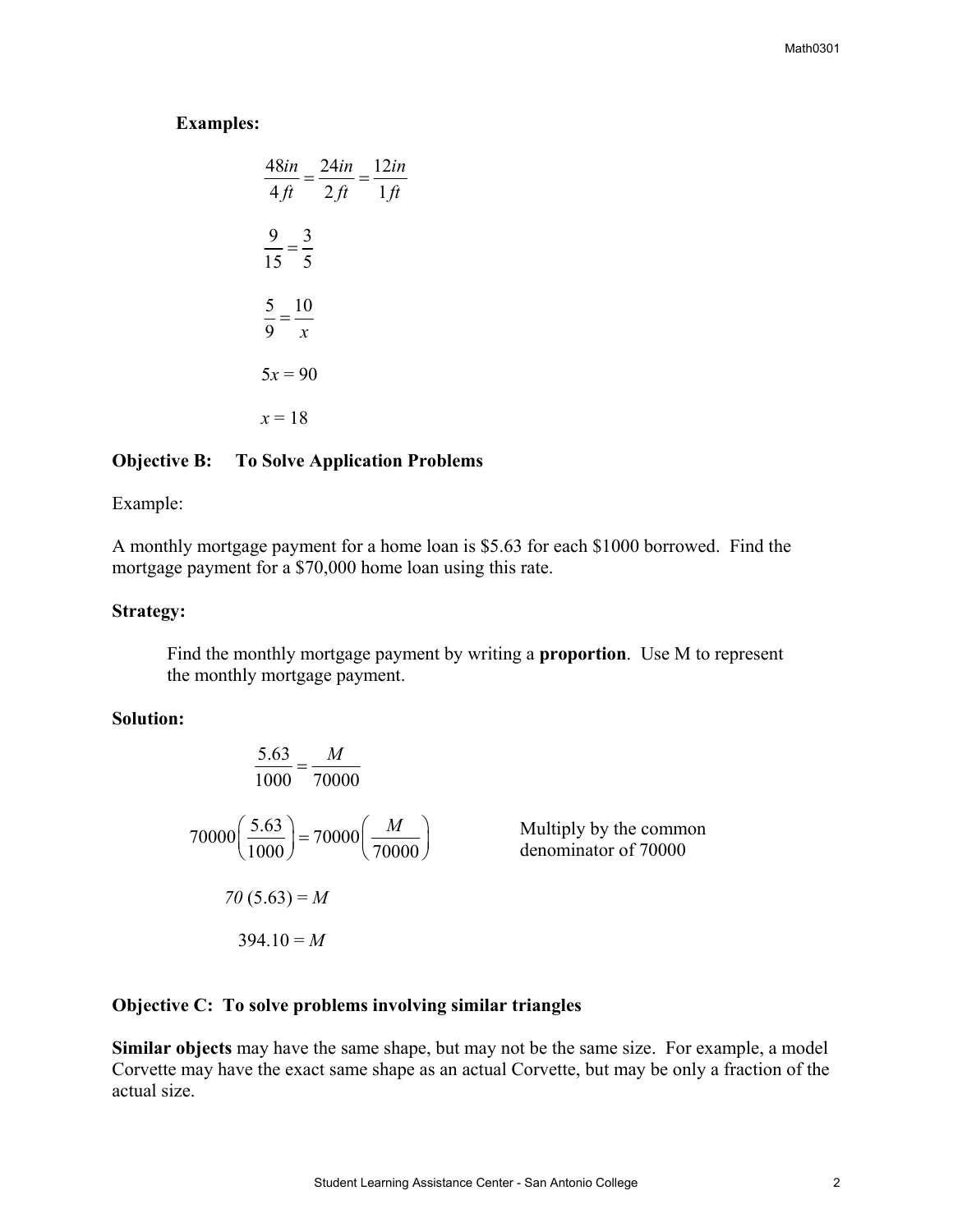**Examples:**

$$
\frac{48in}{4ft} = \frac{24in}{2ft} = \frac{12in}{1ft}
$$

$$
\frac{9}{15} = \frac{3}{5}
$$

$$
\frac{5}{9} = \frac{10}{x}
$$

$$
5x = 90
$$

$$
x = 18
$$

#### **bjective B: To Solve Application Problems O**

#### Example:

A monthly mortgage payment for a home loan is \$5.63 for each \$1000 borrowed. Find the mortgage payment for a \$70,000 home loan using this rate.

## Strategy:

Find the monthly mortgage payment by writing a **proportion**. Use M to represent the monthly mortgage payment.

#### Solution:

$$
\frac{5.63}{1000} = \frac{M}{70000}
$$
  
70000  $\left(\frac{5.63}{1000}\right) = 70000 \left(\frac{M}{70000}\right)$  Multiply by the common denominator of 70000  
70 (5.63) = M  
394.10 = M

## **bjective C: To solve problems involving similar triangles O**

**Similar objects** may have the same shape, but may not be the same size. For example, a model Corvette may have the exact same shape as an actual Corvette, but may be only a fraction of the actual size.